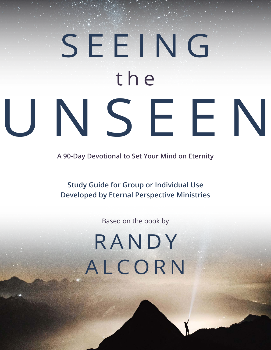# SEEING the UNSEEN

**A 90-Day Devotional to Set Your Mind on Eternity**

**Study Guide for Group or Individual Use Developed by Eternal Perspective Ministries**

Based on the book by

## RANDY ALCORN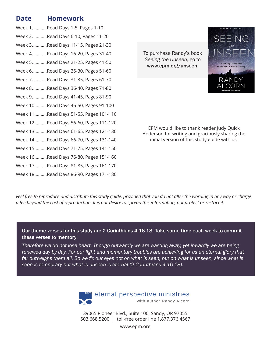### **Date Homework**

Week 1............Read Days 1-5, Pages 1-10 Week 2............Read Days 6-10, Pages 11-20 Week 3............Read Days 11-15, Pages 21-30 Week 4............Read Days 16-20, Pages 31-40 Week 5............Read Days 21-25, Pages 41-50 Week 6............Read Days 26-30, Pages 51-60 Week 7............Read Days 31-35, Pages 61-70 Week 8............Read Days 36-40, Pages 71-80 Week 9............Read Days 41-45, Pages 81-90 Week 10..........Read Days 46-50, Pages 91-100 Week 11..........Read Days 51-55, Pages 101-110 Week 12..........Read Days 56-60, Pages 111-120 Week 13..........Read Days 61-65, Pages 121-130 Week 14..........Read Days 66-70, Pages 131-140 Week 15..........Read Days 71-75, Pages 141-150 Week 16..........Read Days 76-80, Pages 151-160 Week 17..........Read Days 81-85, Pages 161-170 Week 18..........Read Days 86-90, Pages 171-180

To purchase Randy's book *Seeing the Unseen*, go to [www.epm.org/](http://www.epm.org/happiness101)unseen.



EPM would like to thank reader Judy Quick Anderson for writing and graciously sharing the initial version of this study guide with us.

Feel free to reproduce and distribute this study guide, provided that you do not alter the wording in any way or charge *a fee beyond the cost of reproduction. It is our desire to spread this information, not protect or restrict it.*

Our theme verses for this study are 2 Corinthians 4:16-18. Take some time each week to commit these verses to memory:

*Therefore we do not lose heart. Though outwardly we are wasting away, yet inwardly we are being renewed day by day. For our light and momentary troubles are achieving for us an eternal glory that*  far outweighs them all. So we fix our eyes not on what is seen, but on what is unseen, since what is *seen is temporary but what is unseen is eternal (2 Corinthians 4:16-18).*



39065 Pioneer Blvd., Suite 100, Sandy, OR 97055 503.668.5200 | toll-free order line 1.877.376.4567

www.epm.org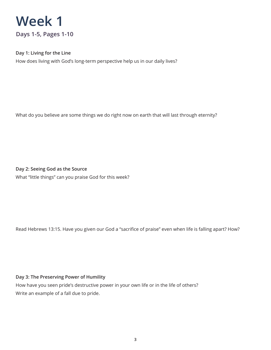

### **Day 1: Living for the Line**

How does living with God's long-term perspective help us in our daily lives?

What do you believe are some things we do right now on earth that will last through eternity?

**Day 2: Seeing God as the Source** What "little things" can you praise God for this week?

Read Hebrews 13:15. Have you given our God a "sacrifice of praise" even when life is falling apart? How?

#### **Day 3: The Preserving Power of Humility**

How have you seen pride's destructive power in your own life or in the life of others? Write an example of a fall due to pride.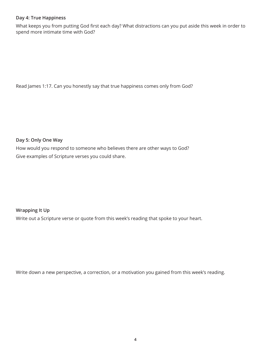### **Day 4: True Happiness**

What keeps you from putting God first each day? What distractions can you put aside this week in order to spend more intimate time with God?

Read James 1:17. Can you honestly say that true happiness comes only from God?

**Day 5: Only One Way**

How would you respond to someone who believes there are other ways to God? Give examples of Scripture verses you could share.

**Wrapping It Up**

Write out a Scripture verse or quote from this week's reading that spoke to your heart.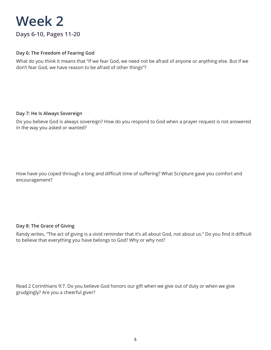### **Week 2 Days 6-10, Pages 11-20**

### **Day 6: The Freedom of Fearing God**

What do you think it means that "If we fear God, we need not be afraid of anyone or anything else. But if we don't fear God, we have reason to be afraid of other things"?

### **Day 7: He Is Always Sovereign**

Do you believe God is always sovereign? How do you respond to God when a prayer request is not answered in the way you asked or wanted?

How have you coped through a long and difficult time of suffering? What Scripture gave you comfort and encouragement?

### **Day 8: The Grace of Giving**

Randy writes, "The act of giving is a vivid reminder that it's all about God, not about us." Do you find it difficult to believe that everything you have belongs to God? Why or why not?

Read 2 Corinthians 9:7. Do you believe God honors our gift when we give out of duty or when we give grudgingly? Are you a cheerful giver?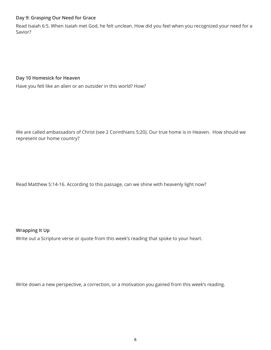### **Day 9: Grasping Our Need for Grace**

Read Isaiah 6:5. When Isaiah met God, he felt unclean. How did you feel when you recognized your need for a Savior?

### **Day 10 Homesick for Heaven**

Have you felt like an alien or an outsider in this world? How?

We are called ambassadors of Christ (see 2 Corinthians 5:20). Our true home is in Heaven. How should we represent our home country?

Read Matthew 5:14-16. According to this passage, can we shine with heavenly light now?

### **Wrapping It Up**

Write out a Scripture verse or quote from this week's reading that spoke to your heart.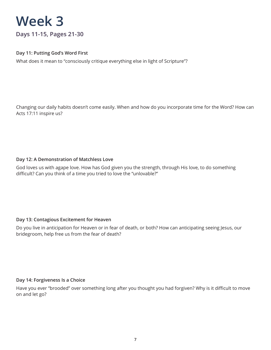**Days 11-15, Pages 21-30**

### **Day 11: Putting God's Word First**

What does it mean to "consciously critique everything else in light of Scripture"?

Changing our daily habits doesn't come easily. When and how do you incorporate time for the Word? How can Acts 17:11 inspire us?

### **Day 12: A Demonstration of Matchless Love**

God loves us with agape love. How has God given you the strength, through His love, to do something difficult? Can you think of a time you tried to love the "unlovable?"

### **Day 13: Contagious Excitement for Heaven**

Do you live in anticipation for Heaven or in fear of death, or both? How can anticipating seeing Jesus, our bridegroom, help free us from the fear of death?

### **Day 14: Forgiveness Is a Choice**

Have you ever "brooded" over something long after you thought you had forgiven? Why is it difficult to move on and let go?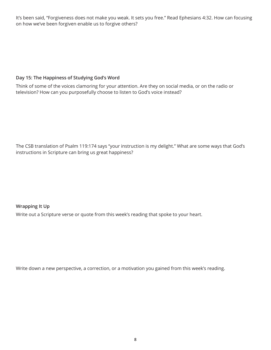It's been said, "Forgiveness does not make you weak. It sets you free." Read Ephesians 4:32. How can focusing on how we've been forgiven enable us to forgive others?

### **Day 15: The Happiness of Studying God's Word**

Think of some of the voices clamoring for your attention. Are they on social media, or on the radio or television? How can you purposefully choose to listen to God's voice instead?

The CSB translation of Psalm 119:174 says "your instruction is my delight." What are some ways that God's instructions in Scripture can bring us great happiness?

### **Wrapping It Up**

Write out a Scripture verse or quote from this week's reading that spoke to your heart.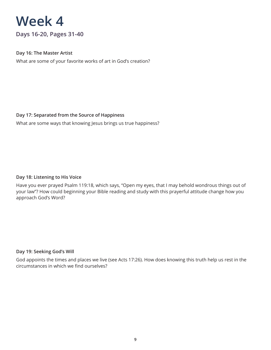**Days 16-20, Pages 31-40**

### **Day 16: The Master Artist**

What are some of your favorite works of art in God's creation?

### **Day 17: Separated from the Source of Happiness**

What are some ways that knowing Jesus brings us true happiness?

### **Day 18: Listening to His Voice**

Have you ever prayed Psalm 119:18, which says, "Open my eyes, that I may behold wondrous things out of your law"? How could beginning your Bible reading and study with this prayerful attitude change how you approach God's Word?

### **Day 19: Seeking God's Will**

God appoints the times and places we live (see Acts 17:26). How does knowing this truth help us rest in the circumstances in which we find ourselves?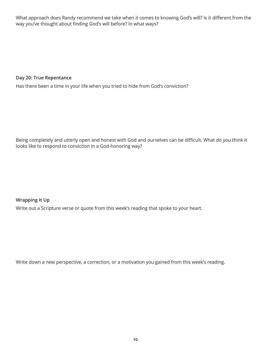What approach does Randy recommend we take when it comes to knowing God's will? Is it different from the way you've thought about finding God's will before? In what ways?

### **Day 20: True Repentance**

Has there been a time in your life when you tried to hide from God's conviction?

Being completely and utterly open and honest with God and ourselves can be difficult. What do you think it looks like to respond to conviction in a God-honoring way?

**Wrapping It Up** Write out a Scripture verse or quote from this week's reading that spoke to your heart.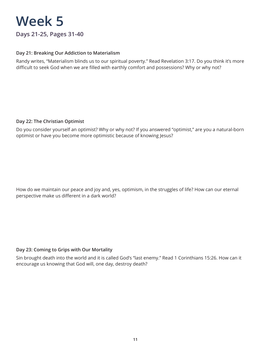### **Week 5 Days 21-25, Pages 31-40**

### **Day 21: Breaking Our Addiction to Materialism**

Randy writes, "Materialism blinds us to our spiritual poverty." Read Revelation 3:17. Do you think it's more difficult to seek God when we are filled with earthly comfort and possessions? Why or why not?

### **Day 22: The Christian Optimist**

Do you consider yourself an optimist? Why or why not? If you answered "optimist," are you a natural-born optimist or have you become more optimistic because of knowing Jesus?

How do we maintain our peace and joy and, yes, optimism, in the struggles of life? How can our eternal perspective make us different in a dark world?

### **Day 23: Coming to Grips with Our Mortality**

Sin brought death into the world and it is called God's "last enemy." Read 1 Corinthians 15:26. How can it encourage us knowing that God will, one day, destroy death?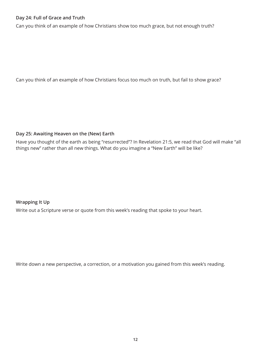### **Day 24: Full of Grace and Truth**

Can you think of an example of how Christians show too much grace, but not enough truth?

Can you think of an example of how Christians focus too much on truth, but fail to show grace?

### **Day 25: Awaiting Heaven on the (New) Earth**

Have you thought of the earth as being "resurrected"? In Revelation 21:5, we read that God will make "all things new" rather than all new things. What do you imagine a "New Earth" will be like?

### **Wrapping It Up**

Write out a Scripture verse or quote from this week's reading that spoke to your heart.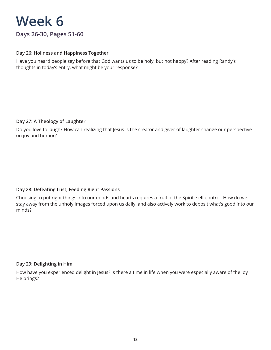**Days 26-30, Pages 51-60**

### **Day 26: Holiness and Happiness Together**

Have you heard people say before that God wants us to be holy, but not happy? After reading Randy's thoughts in today's entry, what might be your response?

### **Day 27: A Theology of Laughter**

Do you love to laugh? How can realizing that Jesus is the creator and giver of laughter change our perspective on joy and humor?

### **Day 28: Defeating Lust, Feeding Right Passions**

Choosing to put right things into our minds and hearts requires a fruit of the Spirit: self-control. How do we stay away from the unholy images forced upon us daily, and also actively work to deposit what's good into our minds?

### **Day 29: Delighting in Him**

How have you experienced delight in Jesus? Is there a time in life when you were especially aware of the joy He brings?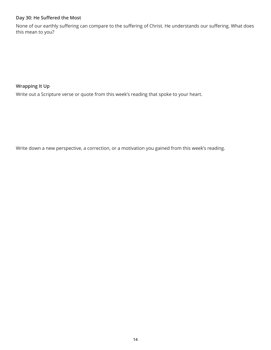### **Day 30: He Suffered the Most**

None of our earthly suffering can compare to the suffering of Christ. He understands our suffering. What does this mean to you?

### **Wrapping It Up**

Write out a Scripture verse or quote from this week's reading that spoke to your heart.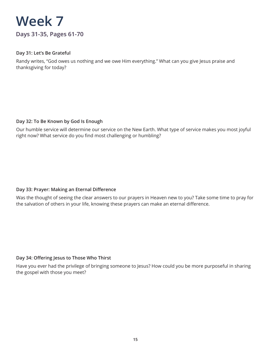

### **Day 31: Let's Be Grateful**

Randy writes, "God owes us nothing and we owe Him everything." What can you give Jesus praise and thanksgiving for today?

### **Day 32: To Be Known by God Is Enough**

Our humble service will determine our service on the New Earth. What type of service makes you most joyful right now? What service do you find most challenging or humbling?

### **Day 33: Prayer: Making an Eternal Difference**

Was the thought of seeing the clear answers to our prayers in Heaven new to you? Take some time to pray for the salvation of others in your life, knowing these prayers can make an eternal difference.

### **Day 34: Offering Jesus to Those Who Thirst**

Have you ever had the privilege of bringing someone to Jesus? How could you be more purposeful in sharing the gospel with those you meet?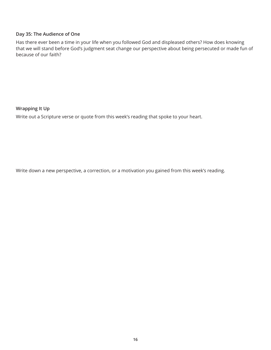### **Day 35: The Audience of One**

Has there ever been a time in your life when you followed God and displeased others? How does knowing that we will stand before God's judgment seat change our perspective about being persecuted or made fun of because of our faith?

**Wrapping It Up**

Write out a Scripture verse or quote from this week's reading that spoke to your heart.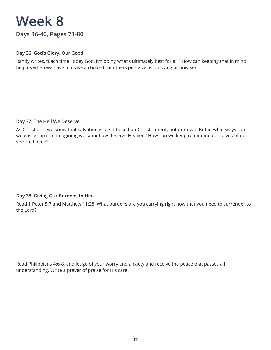### **Week 8 Days 36-40, Pages 71-80**

### **Day 36: God's Glory, Our Good**

Randy writes, "Each time I obey God, I'm doing what's ultimately best for all." How can keeping that in mind help us when we have to make a choice that others perceive as unloving or unwise?

### **Day 37: The Hell We Deserve**

As Christians, we know that salvation is a gift based on Christ's merit, not our own. But in what ways can we easily slip into imagining we somehow deserve Heaven? How can we keep reminding ourselves of our spiritual need?

### **Day 38: Giving Our Burdens to Him**

Read 1 Peter 5:7 and Matthew 11:28. What burdens are you carrying right now that you need to surrender to the Lord?

Read Philippians 4:6-8, and let go of your worry and anxiety and receive the peace that passes all understanding. Write a prayer of praise for His care.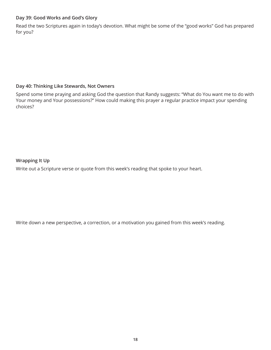### **Day 39: Good Works and God's Glory**

Read the two Scriptures again in today's devotion. What might be some of the "good works" God has prepared for you?

### **Day 40: Thinking Like Stewards, Not Owners**

Spend some time praying and asking God the question that Randy suggests: "What do You want me to do with Your money and Your possessions?" How could making this prayer a regular practice impact your spending choices?

### **Wrapping It Up**

Write out a Scripture verse or quote from this week's reading that spoke to your heart.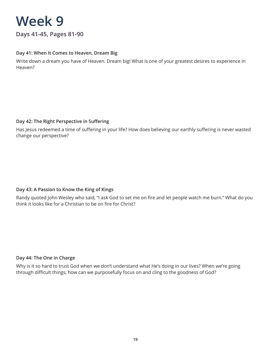

### **Day 41: When It Comes to Heaven, Dream Big**

Write down a dream you have of Heaven. Dream big! What is one of your greatest desires to experience in Heaven?

### **Day 42: The Right Perspective in Suffering**

Has Jesus redeemed a time of suffering in your life? How does believing our earthly suffering is never wasted change our perspective?

### **Day 43: A Passion to Know the King of Kings**

Randy quoted John Wesley who said, "I ask God to set me on fire and let people watch me burn." What do you think it looks like for a Christian to be on fire for Christ?

### **Day 44: The One in Charge**

Why is it so hard to trust God when we don't understand what He's doing in our lives? When we're going through difficult things, how can we purposefully focus on and cling to the goodness of God?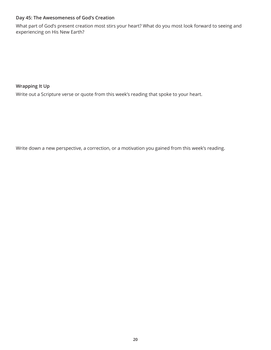### **Day 45: The Awesomeness of God's Creation**

What part of God's present creation most stirs your heart? What do you most look forward to seeing and experiencing on His New Earth?

**Wrapping It Up**

Write out a Scripture verse or quote from this week's reading that spoke to your heart.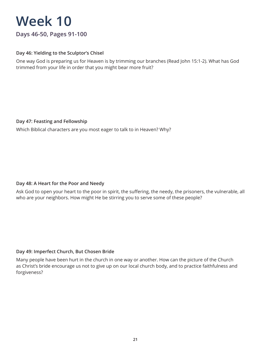### **Days 46-50, Pages 91-100**

### **Day 46: Yielding to the Sculptor's Chisel**

One way God is preparing us for Heaven is by trimming our branches (Read John 15:1-2). What has God trimmed from your life in order that you might bear more fruit?

### **Day 47: Feasting and Fellowship**

Which Biblical characters are you most eager to talk to in Heaven? Why?

### **Day 48: A Heart for the Poor and Needy**

Ask God to open your heart to the poor in spirit, the suffering, the needy, the prisoners, the vulnerable, all who are your neighbors. How might He be stirring you to serve some of these people?

### **Day 49: Imperfect Church, But Chosen Bride**

Many people have been hurt in the church in one way or another. How can the picture of the Church as Christ's bride encourage us not to give up on our local church body, and to practice faithfulness and forgiveness?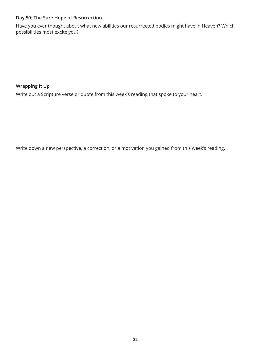### **Day 50: The Sure Hope of Resurrection**

Have you ever thought about what new abilities our resurrected bodies might have in Heaven? Which possibilities most excite you?

**Wrapping It Up**

Write out a Scripture verse or quote from this week's reading that spoke to your heart.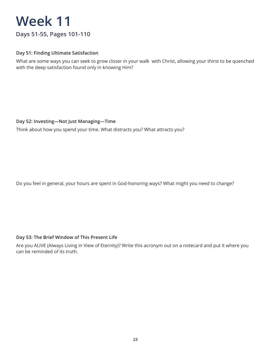### **Days 51-55, Pages 101-110**

### **Day 51: Finding Ultimate Satisfaction**

What are some ways you can seek to grow closer in your walk with Christ, allowing your thirst to be quenched with the deep satisfaction found only in knowing Him?

### **Day 52: Investing—Not Just Managing—Time**

Think about how you spend your time. What distracts you? What attracts you?

Do you feel in general, your hours are spent in God-honoring ways? What might you need to change?

### **Day 53: The Brief Window of This Present Life**

Are you ALIVE (Always Living in View of Eternity)? Write this acronym out on a notecard and put it where you can be reminded of its truth.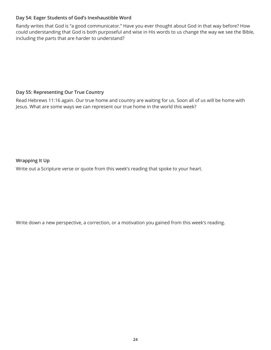### **Day 54: Eager Students of God's Inexhaustible Word**

Randy writes that God is "a good communicator." Have you ever thought about God in that way before? How could understanding that God is both purposeful and wise in His words to us change the way we see the Bible, including the parts that are harder to understand?

### **Day 55: Representing Our True Country**

Read Hebrews 11:16 again. Our true home and country are waiting for us. Soon all of us will be home with Jesus. What are some ways we can represent our true home in the world this week?

**Wrapping It Up**

Write out a Scripture verse or quote from this week's reading that spoke to your heart.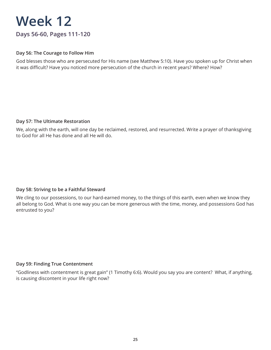### **Days 56-60, Pages 111-120**

### **Day 56: The Courage to Follow Him**

God blesses those who are persecuted for His name (see Matthew 5:10). Have you spoken up for Christ when it was difficult? Have you noticed more persecution of the church in recent years? Where? How?

### **Day 57: The Ultimate Restoration**

We, along with the earth, will one day be reclaimed, restored, and resurrected. Write a prayer of thanksgiving to God for all He has done and all He will do.

### **Day 58: Striving to be a Faithful Steward**

We cling to our possessions, to our hard-earned money, to the things of this earth, even when we know they all belong to God. What is one way you can be more generous with the time, money, and possessions God has entrusted to you?

### **Day 59: Finding True Contentment**

"Godliness with contentment is great gain" (1 Timothy 6:6). Would you say you are content? What, if anything, is causing discontent in your life right now?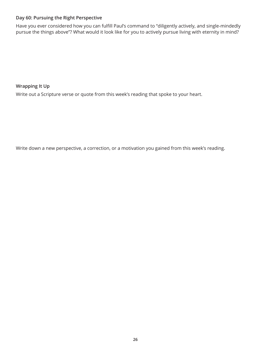### **Day 60: Pursuing the Right Perspective**

Have you ever considered how you can fulfill Paul's command to "diligently actively, and single-mindedly pursue the things above"? What would it look like for you to actively pursue living with eternity in mind?

**Wrapping It Up**

Write out a Scripture verse or quote from this week's reading that spoke to your heart.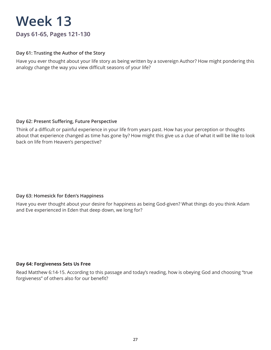### **Days 61-65, Pages 121-130**

### **Day 61: Trusting the Author of the Story**

Have you ever thought about your life story as being written by a sovereign Author? How might pondering this analogy change the way you view difficult seasons of your life?

### **Day 62: Present Suffering, Future Perspective**

Think of a difficult or painful experience in your life from years past. How has your perception or thoughts about that experience changed as time has gone by? How might this give us a clue of what it will be like to look back on life from Heaven's perspective?

### **Day 63: Homesick for Eden's Happiness**

Have you ever thought about your desire for happiness as being God-given? What things do you think Adam and Eve experienced in Eden that deep down, we long for?

### **Day 64: Forgiveness Sets Us Free**

Read Matthew 6:14-15. According to this passage and today's reading, how is obeying God and choosing "true forgiveness" of others also for our benefit?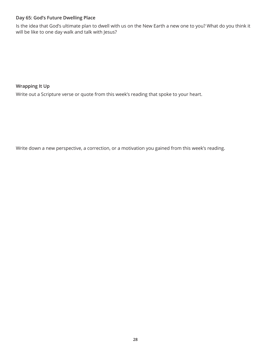### **Day 65: God's Future Dwelling Place**

Is the idea that God's ultimate plan to dwell with us on the New Earth a new one to you? What do you think it will be like to one day walk and talk with Jesus?

**Wrapping It Up**

Write out a Scripture verse or quote from this week's reading that spoke to your heart.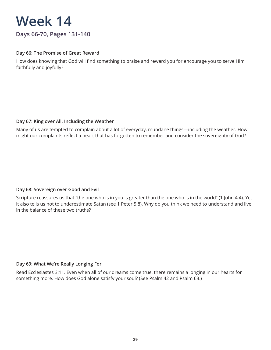**Days 66-70, Pages 131-140**

### **Day 66: The Promise of Great Reward**

How does knowing that God will find something to praise and reward you for encourage you to serve Him faithfully and joyfully?

### **Day 67: King over All, Including the Weather**

Many of us are tempted to complain about a lot of everyday, mundane things—including the weather. How might our complaints reflect a heart that has forgotten to remember and consider the sovereignty of God?

### **Day 68: Sovereign over Good and Evil**

Scripture reassures us that "the one who is in you is greater than the one who is in the world" (1 John 4:4). Yet it also tells us not to underestimate Satan (see 1 Peter 5:8). Why do you think we need to understand and live in the balance of these two truths?

### **Day 69: What We're Really Longing For**

Read Ecclesiastes 3:11. Even when all of our dreams come true, there remains a longing in our hearts for something more. How does God alone satisfy your soul? (See Psalm 42 and Psalm 63.)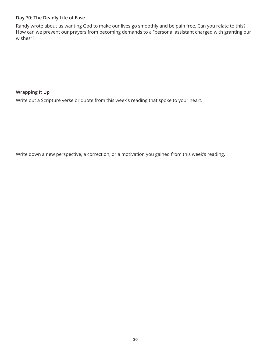### **Day 70: The Deadly Life of Ease**

Randy wrote about us wanting God to make our lives go smoothly and be pain free. Can you relate to this? How can we prevent our prayers from becoming demands to a "personal assistant charged with granting our wishes"?

**Wrapping It Up**

Write out a Scripture verse or quote from this week's reading that spoke to your heart.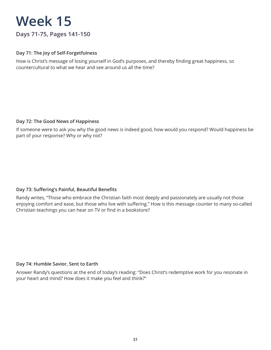### **Days 71-75, Pages 141-150**

### **Day 71: The Joy of Self-Forgetfulness**

How is Christ's message of losing yourself in God's purposes, and thereby finding great happiness, so countercultural to what we hear and see around us all the time?

### **Day 72: The Good News of Happiness**

If someone were to ask you why the good news is indeed good, how would you respond? Would happiness be part of your response? Why or why not?

### **Day 73: Suffering's Painful, Beautiful Benefits**

Randy writes, "Those who embrace the Christian faith most deeply and passionately are usually not those enjoying comfort and ease, but those who live with suffering." How is this message counter to many so-called Christian teachings you can hear on TV or find in a bookstore?

### **Day 74: Humble Savior, Sent to Earth**

Answer Randy's questions at the end of today's reading: "Does Christ's redemptive work for you resonate in your heart and mind? How does it make you feel and think?"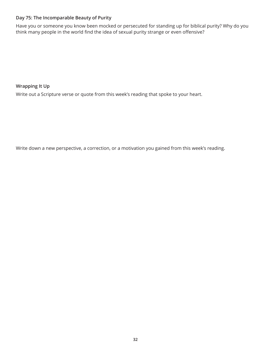### **Day 75: The Incomparable Beauty of Purity**

Have you or someone you know been mocked or persecuted for standing up for biblical purity? Why do you think many people in the world find the idea of sexual purity strange or even offensive?

**Wrapping It Up**

Write out a Scripture verse or quote from this week's reading that spoke to your heart.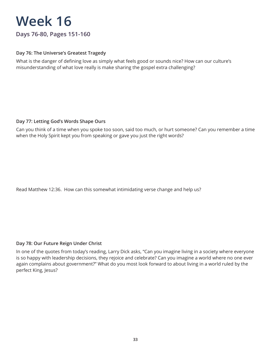### **Days 76-80, Pages 151-160**

### **Day 76: The Universe's Greatest Tragedy**

What is the danger of defining love as simply what feels good or sounds nice? How can our culture's misunderstanding of what love really is make sharing the gospel extra challenging?

### **Day 77: Letting God's Words Shape Ours**

Can you think of a time when you spoke too soon, said too much, or hurt someone? Can you remember a time when the Holy Spirit kept you from speaking or gave you just the right words?

Read Matthew 12:36. How can this somewhat intimidating verse change and help us?

### **Day 78: Our Future Reign Under Christ**

In one of the quotes from today's reading, Larry Dick asks, "Can you imagine living in a society where everyone is so happy with leadership decisions, they rejoice and celebrate? Can you imagine a world where no one ever again complains about government?" What do you most look forward to about living in a world ruled by the perfect King, Jesus?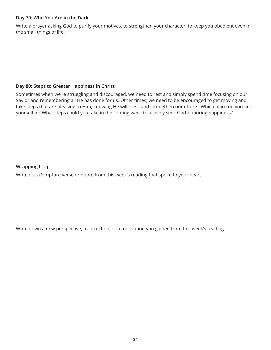### **Day 79: Who You Are in the Dark**

Write a prayer asking God to purify your motives, to strengthen your character, to keep you obedient even in the small things of life.

### **Day 80: Steps to Greater Happiness in Christ**

Sometimes when we're struggling and discouraged, we need to rest and simply spend time focusing on our Savior and remembering all He has done for us. Other times, we need to be encouraged to get moving and take steps that are pleasing to Him, knowing He will bless and strengthen our efforts. Which place do you find yourself in? What steps could you take in the coming week to actively seek God-honoring happiness?

**Wrapping It Up**

Write out a Scripture verse or quote from this week's reading that spoke to your heart.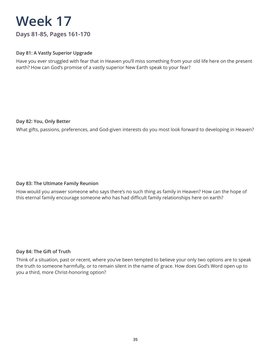### **Days 81-85, Pages 161-170**

### **Day 81: A Vastly Superior Upgrade**

Have you ever struggled with fear that in Heaven you'll miss something from your old life here on the present earth? How can God's promise of a vastly superior New Earth speak to your fear?

### **Day 82: You, Only Better**

What gifts, passions, preferences, and God-given interests do you most look forward to developing in Heaven?

### **Day 83: The Ultimate Family Reunion**

How would you answer someone who says there's no such thing as family in Heaven? How can the hope of this eternal family encourage someone who has had difficult family relationships here on earth?

### **Day 84: The Gift of Truth**

Think of a situation, past or recent, where you've been tempted to believe your only two options are to speak the truth to someone harmfully, or to remain silent in the name of grace. How does God's Word open up to you a third, more Christ-honoring option?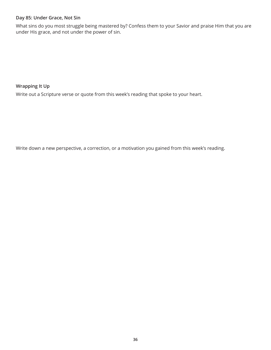### **Day 85: Under Grace, Not Sin**

What sins do you most struggle being mastered by? Confess them to your Savior and praise Him that you are under His grace, and not under the power of sin.

**Wrapping It Up**

Write out a Scripture verse or quote from this week's reading that spoke to your heart.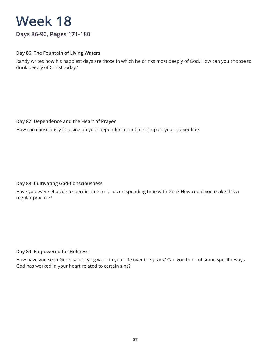**Days 86-90, Pages 171-180**

### **Day 86: The Fountain of Living Waters**

Randy writes how his happiest days are those in which he drinks most deeply of God. How can you choose to drink deeply of Christ today?

### **Day 87: Dependence and the Heart of Prayer**

How can consciously focusing on your dependence on Christ impact your prayer life?

### **Day 88: Cultivating God-Consciousness**

Have you ever set aside a specific time to focus on spending time with God? How could you make this a regular practice?

### **Day 89: Empowered for Holiness**

How have you seen God's sanctifying work in your life over the years? Can you think of some specific ways God has worked in your heart related to certain sins?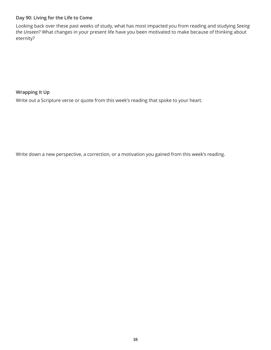### **Day 90: Living for the Life to Come**

Looking back over these past weeks of study, what has most impacted you from reading and studying *Seeing the Unseen*? What changes in your present life have you been motivated to make because of thinking about eternity?

**Wrapping It Up**

Write out a Scripture verse or quote from this week's reading that spoke to your heart.